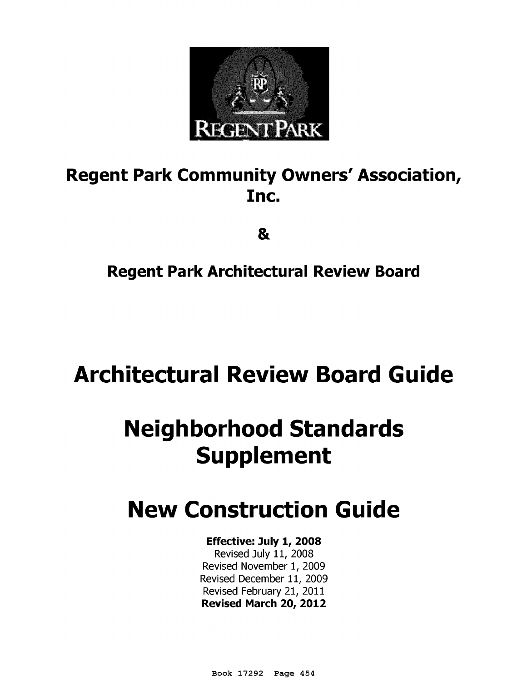

## **Regent Park Community Owners' Association, Inc.**

&

## **Regent Park Architectural Review Board**

# **Architectural Review Board Guide**

# **Neighborhood Standards Supplement**

# **New Construction Guide**

## **Effective: July 1, 2008**

Revised July 11, 2008 Revised November 1, 2009 Revised December 11, 2009 Revised February 21, 2011 **Revised March 20, 2012** 

Book 17292 Page 454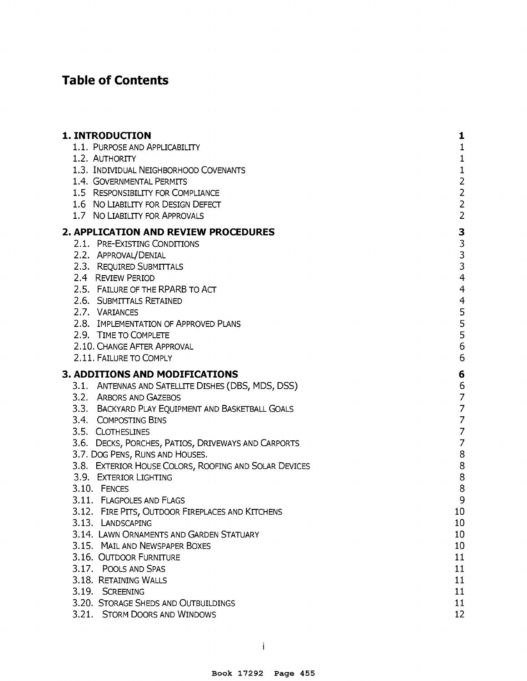## **Table of Contents**

| <b>1. INTRODUCTION</b>                                | 1                                          |
|-------------------------------------------------------|--------------------------------------------|
| 1.1. PURPOSE AND APPLICABILITY                        | $\mathbf{1}$                               |
| 1.2. AUTHORITY                                        | $\mathbf{1}$                               |
| 1.3. INDIVIDUAL NEIGHBORHOOD COVENANTS                | $\mathbf 1$                                |
| 1.4. GOVERNMENTAL PERMITS                             |                                            |
| 1.5 RESPONSIBILITY FOR COMPLIANCE                     | $\begin{array}{c} 2 \\ 2 \end{array}$      |
| 1.6 NO LIABILITY FOR DESIGN DEFECT                    | $\frac{2}{2}$                              |
| 1.7 NO LIABILITY FOR APPROVALS                        |                                            |
| 2. APPLICATION AND REVIEW PROCEDURES                  |                                            |
| 2.1. PRE-EXISTING CONDITIONS                          | $\begin{array}{c} 3 \\ 3 \\ 3 \end{array}$ |
| 2.2. APPROVAL/DENIAL                                  |                                            |
| 2.3. REQUIRED SUBMITTALS                              |                                            |
| 2.4 REVIEW PERIOD                                     | $\overline{\mathcal{A}}$                   |
| 2.5. FAILURE OF THE RPARB TO ACT                      | $\overline{4}$                             |
| 2.6. SUBMITTALS RETAINED                              | $\overline{4}$                             |
| 2.7. VARIANCES                                        | 5                                          |
| 2.8. IMPLEMENTATION OF APPROVED PLANS                 | $\frac{5}{5}$                              |
| 2.9. TIME TO COMPLETE                                 |                                            |
| 2.10. CHANGE AFTER APPROVAL                           | 6                                          |
| 2.11. FAILURE TO COMPLY                               | 6                                          |
| 3. ADDITIONS AND MODIFICATIONS                        | 6                                          |
| 3.1. ANTENNAS AND SATELLITE DISHES (DBS, MDS, DSS)    | 6                                          |
| 3.2. ARBORS AND GAZEBOS                               | $\overline{7}$                             |
| 3.3. BACKYARD PLAY EQUIPMENT AND BASKETBALL GOALS     | $\overline{7}$                             |
| 3.4. COMPOSTING BINS                                  | $\overline{7}$                             |
| 3.5. CLOTHESLINES                                     | $\overline{z}$                             |
| 3.6. DECKS, PORCHES, PATIOS, DRIVEWAYS AND CARPORTS   | $\overline{7}$                             |
| 3.7. DOG PENS, RUNS AND HOUSES.                       | 8                                          |
| 3.8. EXTERIOR HOUSE COLORS, ROOFING AND SOLAR DEVICES | 8                                          |
| 3.9. EXTERIOR LIGHTING                                | 8                                          |
| 3.10. FENCES                                          | 8                                          |
| 3.11. FLAGPOLES AND FLAGS                             | 9                                          |
| 3.12. FIRE PITS, OUTDOOR FIREPLACES AND KITCHENS      | 10                                         |
| 3.13. LANDSCAPING                                     | 10                                         |
| 3.14. LAWN ORNAMENTS AND GARDEN STATUARY              | 10                                         |
| 3.15. MAIL AND NEWSPAPER BOXES                        | 10                                         |
| 3.16. OUTDOOR FURNITURE                               | 11                                         |
| 3.17. POOLS AND SPAS                                  | 11                                         |
| 3.18. RETAINING WALLS                                 | 11                                         |
| 3.19. SCREENING                                       | 11                                         |
| 3.20. STORAGE SHEDS AND OUTBUILDINGS                  | 11                                         |
| 3.21. STORM DOORS AND WINDOWS                         | 12                                         |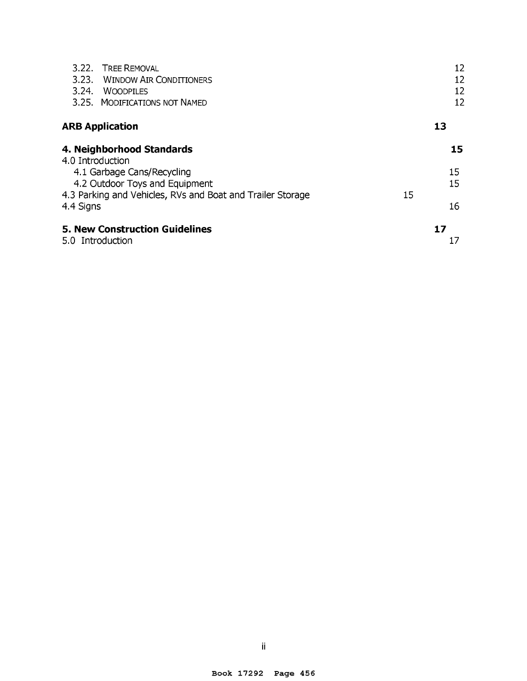| 3.22. TREE REMOVAL                                        |                                                            |    | 12       |
|-----------------------------------------------------------|------------------------------------------------------------|----|----------|
|                                                           | 3.23. WINDOW AIR CONDITIONERS                              |    | 12       |
| 3.24.<br><b>WOODPILES</b>                                 |                                                            |    | 12       |
| 3.25. MODIFICATIONS NOT NAMED                             |                                                            |    | 12       |
| <b>ARB Application</b>                                    |                                                            |    | 13       |
| 4. Neighborhood Standards                                 |                                                            |    | 15       |
| 4.0 Introduction                                          |                                                            |    |          |
| 4.1 Garbage Cans/Recycling                                |                                                            |    | 15       |
|                                                           | 4.2 Outdoor Toys and Equipment                             |    | 15       |
| 4.4 Signs                                                 | 4.3 Parking and Vehicles, RVs and Boat and Trailer Storage | 15 | 16       |
| <b>5. New Construction Guidelines</b><br>5.0 Introduction |                                                            |    | 17<br>17 |
|                                                           |                                                            |    |          |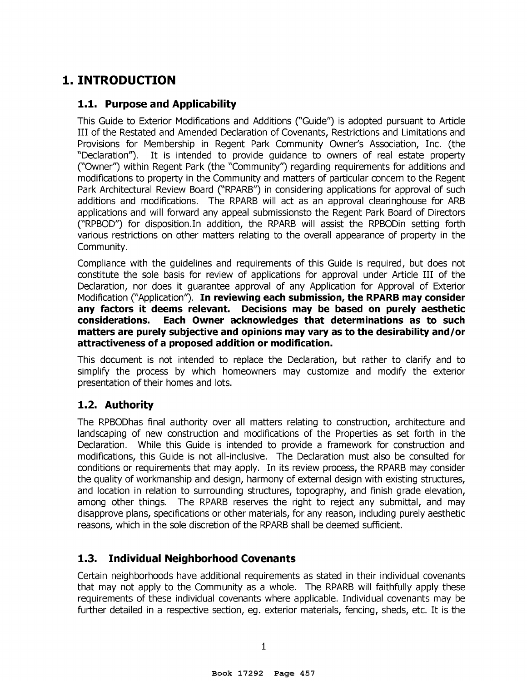## **1. INTRODUCTION**

#### **1.1. Purpose and Applicability**

This Guide to Exterior Modifications and Additions (''Guide'') is adopted pursuant to Article III of the Restated and Amended Declaration of Covenants, Restrictions and Limitations and Provisions for Membership in Regent Park Community Owner's Association, Inc. (the "Declaration"). It is intended to provide guidance to owners of real estate property ("Owner'') within Regent Park (the "Community'') regarding requirements for additions and modifications to property in the Community and matters of particular concern to the Regent Park Architectural Review Board ("RPARB") in considering applications for approval of such additions and modifications. The RPARB will act as an approval clearinghouse for ARB applications and will forward any appeal submissionsto the Regent Park Board of Directors ("RPBOD'') for disposition.In addition, the RPARB will assist the RPBODin setting forth various restrictions on other matters relating to the overall appearance of property in the Community.

Compliance with the guidelines and requirements of this Guide is required, but does not constitute the sole basis for review of applications for approval under Article III of the Declaration, nor does it guarantee approval of any Application for Approval of Exterior Modification (''Application''). **In reviewing each submission, the RPARB may consider any factors it deems relevant. Decisions may be based on purely aesthetic considerations. Each Owner acknowledges that determinations as to such matters are purely subjective and opinions may vary as to the desirability and/or attractiveness of a proposed addition or modification.** 

This document is not intended to replace the Declaration, but rather to clarify and to simplify the process by which homeowners may customize and modify the exterior presentation of their homes and lots.

#### **1. 2. Authority**

The RPBODhas final authority over all matters relating to construction, architecture and landscaping of new construction and modifications of the Properties as set forth in the Declaration. While this Guide is intended to provide a framework for construction and modifications, this Guide is not all-inclusive. The Declaration must also be consulted for conditions or requirements that may apply. In its review process, the RPARB may consider the quality of workmanship and design, harmony of external design with existing structures, and location in relation to surrounding structures, topography, and finish grade elevation, among other things. The RPARB reserves the right to reject any submittal, and may disapprove plans, specifications or other materials, for any reason, including purely aesthetic reasons, which in the sole discretion of the RPARB shall be deemed sufficient.

#### **1.3. Individual Neighborhood Covenants**

Certain neighborhoods have additional requirements as stated in their individual covenants that may not apply to the Community as a whole. The RPARB will faithfully apply these requirements of these individual covenants where applicable. Individual covenants may be further detailed in a respective section, eg. exterior materials, fencing, sheds, etc. It is the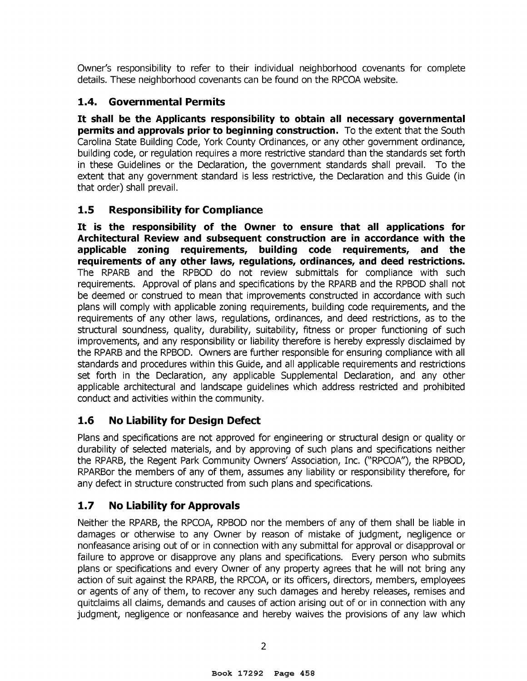Owner's responsibility to refer to their individual neighborhood covenants for complete details. These neighborhood covenants can be found on the RPCOA website.

#### **1.4. Governmental Permits**

It **shall be the Applicants responsibility to obtain all necessary governmental permits and approvals prior to beginning construction.** To the extent that the South Carolina State Building Code, York County Ordinances, or any other government ordinance, building code, or regulation requires a more restrictive standard than the standards set forth in these Guidelines or the Declaration, the government standards shall prevail. To the extent that any government standard is less restrictive, the Declaration and this Guide (in that order) shall prevail.

#### **1.5 Responsibility for Compliance**

It **is the responsibility of the Owner to ensure that all applications for Architectural Review and subsequent construction are in accordance with the applicable zoning requirements, building code requirements, and the requirements of any other laws, regulations, ordinances, and deed restrictions.**  The RPARB and the RPBOD do not review submittals for compliance with such requirements. Approval of plans and specifications by the RPARB and the RPBOD shall not be deemed or construed to mean that improvements constructed in accordance with such plans will comply with applicable zoning requirements, building code requirements, and the requirements of any other laws, regulations, ordinances, and deed restrictions, as to the structural soundness, quality, durability, suitability, fitness or proper functioning of such improvements, and any responsibility or liability therefore is hereby expressly disclaimed by the RPARB and the RPBOD. Owners are further responsible for ensuring compliance with all standards and procedures within this Guide, and all applicable requirements and restrictions set forth in the Declaration, any applicable Supplemental Declaration, and any other applicable architectural and landscape guidelines which address restricted and prohibited conduct and activities within the community.

#### **1.6 No Liability for Design Defect**

Plans and specifications are not approved for engineering or structural design or quality or durability of selected materials, and by approving of such plans and specifications neither the RPARB, the Regent Park Community Owners' Association, Inc. (''RPCOA"), the RPBOD, RPARBor the members of any of them, assumes any liability or responsibility therefore, for any defect in structure constructed from such plans and specifications.

## **1.7 No Liability for Approvals**

Neither the RPARB, the RPCOA, RPBOD nor the members of any of them shall be liable in damages or otherwise to any Owner by reason of mistake of judgment, negligence or nonfeasance arising out of or in connection with any submittal for approval or disapproval or failure to approve or disapprove any plans and specifications. Every person who submits plans or specifications and every Owner of any property agrees that he will not bring any action of suit against the RPARB, the RPCOA, or its officers, directors, members, employees or agents of any of them, to recover any such damages and hereby releases, remises and quitclaims all claims, demands and causes of action arising out of or in connection with any judgment, negligence or nonfeasance and hereby waives the provisions of any law which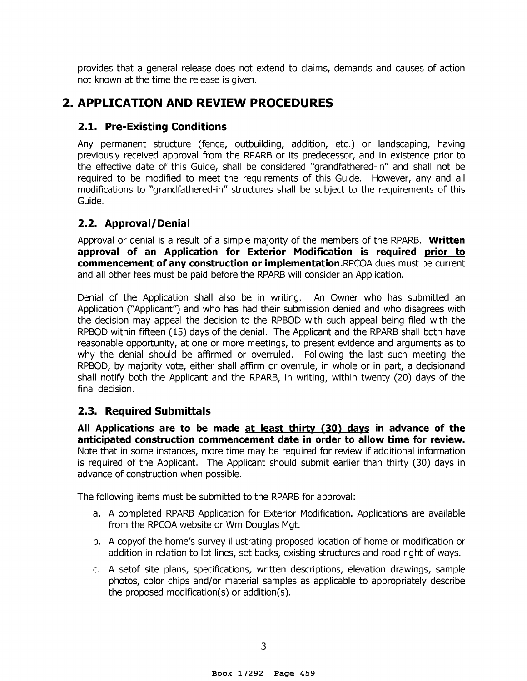provides that a general release does not extend to claims, demands and causes of action not known at the time the release is given.

## **2. APPLICATION AND REVIEW PROCEDURES**

#### **2.1. Pre-Existing Conditions**

Any permanent structure (fence, outbuilding, addition, etc.) or landscaping, having previously received approval from the RPARB or its predecessor, and in existence prior to the effective date of this Guide, shall be considered "grandfathered-in" and shall not be required to be modified to meet the requirements of this Guide. However, any and all modifications to "grandfathered-in" structures shall be subject to the requirements of this Guide.

#### **2.2. Approval/Denial**

Approval or denial is a result of a simple majority of the members of the RPARB. **Written approval of an Application for Exterior Modification is required prior to commencement of any construction or implementation.RPCOA** dues must be current and all other fees must be paid before the RPARB will consider an Application.

Denial of the Application shall also be in writing. An Owner who has submitted an Application (''Applicant'') and who has had their submission denied and who disagrees with the decision may appeal the decision to the RPBOD with such appeal being filed with the RPBOD within fifteen (15) days of the denial. The Applicant and the RPARB shall both have reasonable opportunity, at one or more meetings, to present evidence and arguments as to why the denial should be affirmed or overruled. Following the last such meeting the RPBOD, by majority vote, either shall affirm or overrule, in whole or in part, a decisionand shall notify both the Applicant and the RPARB, in writing, within twenty (20) days of the final decision.

#### **2.3. Required Submittals**

**All Applications are to be made at least thirty (30} days in advance of the anticipated construction commencement date in order to allow time for review.**  Note that in some instances, more time may be required for review if additional information is required of the Applicant. The Applicant should submit earlier than thirty (30) days in advance of construction when possible.

The following items must be submitted to the RPARB for approval:

- a. A completed RPARB Application for Exterior Modification. Applications are available from the RPCOA website or Wm Douglas Mgt.
- b. A copyof the home's survey illustrating proposed location of home or modification or addition in relation to lot lines, set backs, existing structures and road right-of-ways.
- c. A setof site plans, specifications, written descriptions, elevation drawings, sample photos, color chips and/or material samples as applicable to appropriately describe the proposed modification(s) or addition(s).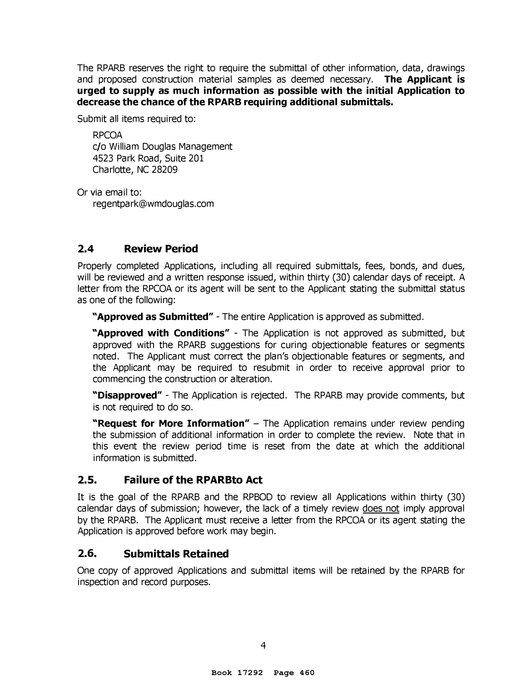The RPARB reserves the right to require the submittal of other information, data, drawings and proposed construction material samples as deemed necessary. **The Applicant is urged to supply as much information as possible with the initial Application to decrease the chance of the RPARB requiring additional submittals.** 

Submit all items required to:

RPCOA c/o William Douglas Management 4523 Park Road, Suite 201 Charlotte, NC 28209

Or via email to: regentpark@wmdouglas.com

#### **2.4 Review Period**

Properly completed Applications, including all required submittals, fees, bonds, and dues, will be reviewed and a written response issued, within thirty (30) calendar days of receipt. A letter from the RPCOA or its agent will be sent to the Applicant stating the submittal status as one of the following:

**"Approved as Submitted"** - The entire Application is approved as submitted.

**"Approved with Conditions"** - The Application is not approved as submitted, but approved with the RPARB suggestions for curing objectionable features or segments noted. The Applicant must correct the plan's objectionable features or segments, and the Applicant may be required to resubmit in order to receive approval prior to commencing the construction or alteration.

**"Disapproved"** - The Application is rejected. The RPARB may provide comments, but is not required to do so.

**"Request for More Information"** – The Application remains under review pending the submission of additional information in order to complete the review. Note that in this event the review period time is reset from the date at which the additional information is submitted.

#### **2.5. Failure of the RPARBto Act**

It is the goal of the RPARB and the RPBOD to review all Applications within thirty (30) calendar days of submission; however, the lack of a timely review does not imply approval by the RPARB. The Applicant must receive a letter from the RPCOA or its agent stating the Application is approved before work may begin.

#### **2.6. Submittals Retained**

One copy of approved Applications and submittal items will be retained by the RPARB for inspection and record purposes.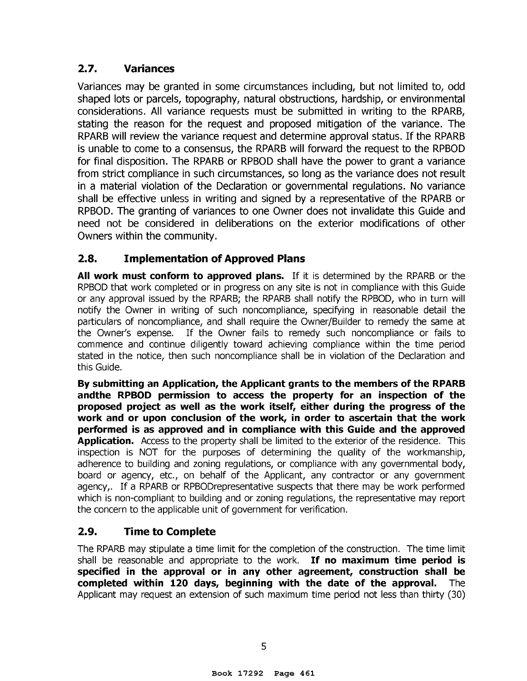#### **2.7. Variances**

Variances may be granted in some circumstances including, but not limited to, odd shaped lots or parcels, topography, natural obstructions, hardship, or environmental considerations. All variance requests must be submitted in writing to the RPARB, stating the reason for the request and proposed mitigation of the variance. The RPARB will review the variance request and determine approval status. If the RPARB is unable to come to a consensus, the RPARB will forward the request to the RPBOD for final disposition. The RPARB or RPBOD shall have the power to grant a variance from strict compliance in such circumstances, so long as the variance does not result in a material violation of the Declaration or governmental regulations. No variance shall be effective unless in writing and signed by a representative of the RPARB or RPBOD. The granting of variances to one Owner does not invalidate this Guide and need not be considered in deliberations on the exterior modifications of other Owners within the community.

## **2.8. Implementation of Approved Plans**

**All work must conform to approved plans.** If it is determined by the RPARB or the RPBOD that work completed or in progress on any site is not in compliance with this Guide or any approval issued by the RPARB; the RPARB shall notify the RPBOD, who in turn will notify the Owner in writing of such noncompliance, specifying in reasonable detail the particulars of noncompliance, and shall require the Owner/Builder to remedy the same at the Owner's expense. If the Owner fails to remedy such noncompliance or fails to commence and continue diligently toward achieving compliance within the time period stated in the notice, then such noncompliance shall be in violation of the Declaration and this Guide.

**By submitting an Application, the Applicant grants to the members of the RPARB andthe RPBOD permission to access the property for an inspection of the proposed project as well as the work itself, either during the progress of the work and or upon conclusion of the work, in order to ascertain that the work performed is as approved and in compliance with this Guide and the approved Application.** Access to the property shall be limited to the exterior of the residence. This inspection is NOT for the purposes of determining the quality of the workmanship, adherence to building and zoning regulations, or compliance with any governmental body, board or agency, etc., on behalf of the Applicant, any contractor or any government agency,. If a RPARB or RPBODrepresentative suspects that there may be work performed which is non-compliant to building and or zoning regulations, the representative may report the concern to the applicable unit of government for verification.

## **2.9. Time to Complete**

The RPARB may stipulate a time limit for the completion of the construction. The time limit shall be reasonable and appropriate to the work. **If no maximum time period is specified in the approval or in any other agreement, construction shall be completed within 120 days, beginning with the date of the approval.** The Applicant may request an extension of such maximum time period not less than thirty (30)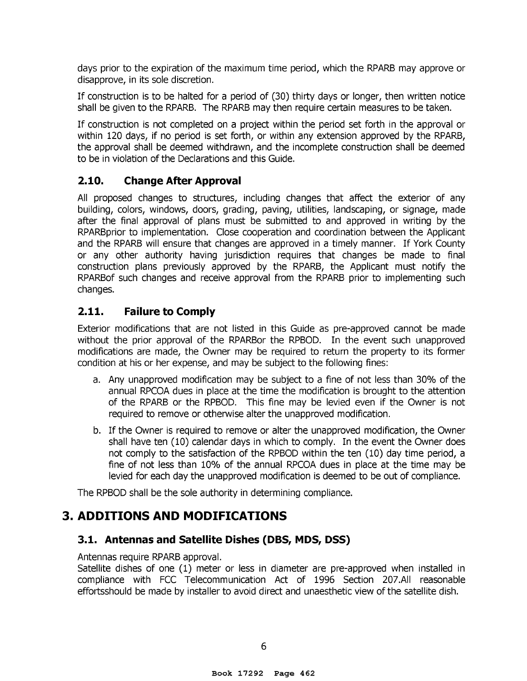days prior to the expiration of the maximum time period, which the RPARB may approve or disapprove, in its sole discretion.

If construction is to be halted for a period of (30) thirty days or longer, then written notice shall be given to the RPARB. The RPARB may then require certain measures to be taken.

If construction is not completed on a project within the period set forth in the approval or within 120 days, if no period is set forth, or within any extension approved by the RPARB, the approval shall be deemed withdrawn, and the incomplete construction shall be deemed to be in violation of the Declarations and this Guide.

#### **2.10. Change After Approval**

All proposed changes to structures, including changes that affect the exterior of any building, colors, windows, doors, grading, paving, utilities, landscaping, or signage, made after the final approval of plans must be submitted to and approved in writing by the RPARBprior to implementation. Close cooperation and coordination between the Applicant and the RPARB will ensure that changes are approved in a timely manner. If York County or any other authority having jurisdiction requires that changes be made to final construction plans previously approved by the RPARB, the Applicant must notify the RPARBof such changes and receive approval from the RPARB prior to implementing such changes.

#### **2.11. Failure to Comply**

Exterior modifications that are not listed in this Guide as pre-approved cannot be made without the prior approval of the RPARBor the RPBOD. In the event such unapproved modifications are made, the Owner may be required to return the property to its former condition at his or her expense, and may be subject to the following fines:

- a. Any unapproved modification may be subject to a fine of not less than 30% of the annual RPCOA dues in place at the time the modification is brought to the attention of the RPARB or the RPBOD. This fine may be levied even if the Owner is not required to remove or otherwise alter the unapproved modification.
- b. If the Owner is required to remove or alter the unapproved modification, the Owner shall have ten (10) calendar days in which to comply. In the event the Owner does not comply to the satisfaction of the RPBOD within the ten (10) day time period, a fine of not less than 10% of the annual RPCOA dues in place at the time may be levied for each day the unapproved modification is deemed to be out of compliance.

The RPBOD shall be the sole authority in determining compliance.

## **3. ADDITIONS AND MODIFICATIONS**

#### **3.1. Antennas and Satellite Dishes (DBS, MDS, DSS)**

Antennas require RPARB approval.

Satellite dishes of one (1) meter or less in diameter are pre-approved when installed in compliance with FCC Telecommunication Act of 1996 Section 207.AII reasonable effortsshould be made by installer to avoid direct and unaesthetic view of the satellite dish.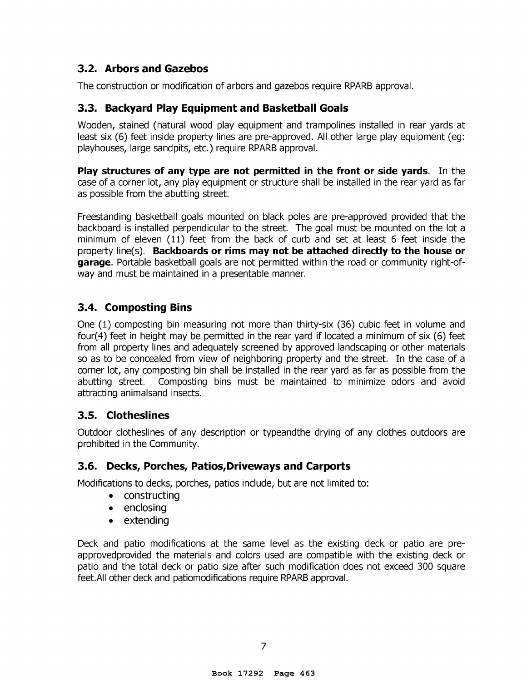#### **3.2. Arbors and Gazebos**

The construction or modification of arbors and gazebos require RPARB approval.

#### **3.3. Backyard Play Equipment and Basketball Goals**

Wooden, stained (natural wood play equipment and trampolines installed in rear yards at least six (6) feet inside property lines are pre-approved. All other large play equipment (eg: playhouses, large sandpits, etc.) require RPARB approval.

**Play structures of any type are not permitted in the front or side yards.** In the case of a corner lot, any play equipment or structure shall be installed in the rear yard as far as possible from the abutting street.

Freestanding basketball goals mounted on black poles are pre-approved provided that the backboard is installed perpendicular to the street. The goal must be mounted on the lot a minimum of eleven (11) feet from the back of curb and set at least 6 feet inside the property line(s). **Backboards or rims may not be attached directly to the house or garage.** Portable basketball goals are not permitted within the road or community right-ofway and must be maintained in a presentable manner.

#### **3.4. Composting Bins**

One (1) composting bin measuring not more than thirty-six (36) cubic feet in volume and four(4) feet in height may be permitted in the rear yard if located a minimum of six (6) feet from all property lines and adequately screened by approved landscaping or other materials so as to be concealed from view of neighboring property and the street. In the case of a corner lot, any composting bin shall be installed in the rear yard as far as possible from the abutting street. Composting bins must be maintained to minimize odors and avoid attracting animalsand insects.

#### **3.5. Clotheslines**

Outdoor clotheslines of any description or typeandthe drying of any clothes outdoors are prohibited in the Community.

#### **3.6. Decks, Porches, Patios,Driveways and Carports**

Modifications to decks, porches, patios include, but are not limited to:

- constructing
- enclosing
- extending

Deck and patio modifications at the same level as the existing deck or patio are preapprovedprovided the materials and colors used are compatible with the existing deck or patio and the total deck or patio size after such modification does not exceed 300 square feet.All other deck and patiomodifications require RPARB approval.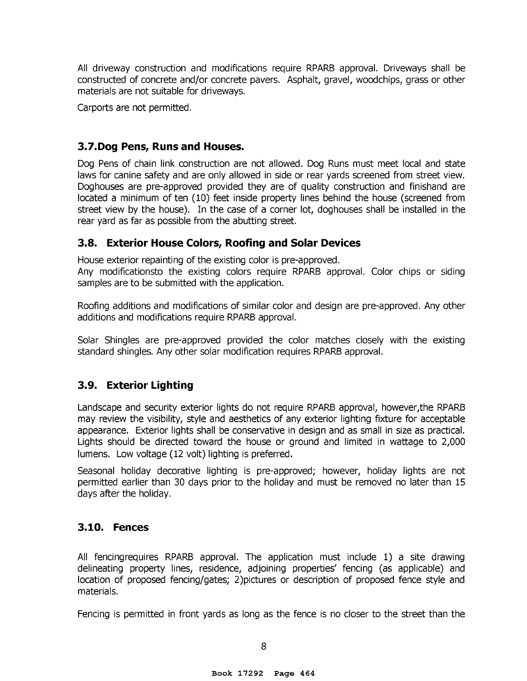All driveway construction and modifications require RPARB approval. Driveways shall be constructed of concrete and/or concrete pavers. Asphalt, gravel, woodchips, grass or other materials are not suitable for driveways.

Carports are not permitted.

#### **3.7.Dog Pens, Runs and Houses.**

Dog Pens of chain link construction are not allowed. Dog Runs must meet local and state laws for canine safety and are only allowed in side or rear yards screened from street view. Doghouses are pre-approved provided they are of quality construction and finishand are located a minimum of ten (10) feet inside property lines behind the house (screened from street view by the house). In the case of a corner lot, doghouses shall be installed in the rear yard as far as possible from the abutting street.

#### **3.8. Exterior House Colors, Roofing and Solar Devices**

House exterior repainting of the existing color is pre-approved.

Any modificationsto the existing colors require RPARB approval. Color chips or siding samples are to be submitted with the application.

Roofing additions and modifications of similar color and design are pre-approved. Any other additions and modifications require RPARB approval.

Solar Shingles are pre-approved provided the color matches closely with the existing standard shingles. Any other solar modification requires RPARB approval.

#### **3.9. Exterior Lighting**

Landscape and security exterior lights do not require RPARB approval, however,the RPARB may review the visibility, style and aesthetics of any exterior lighting fixture for acceptable appearance. Exterior lights shall be conservative in design and as small in size as practical. Lights should be directed toward the house or ground and limited in wattage to 2,000 lumens. Low voltage (12 volt) lighting is preferred.

Seasonal holiday decorative lighting is pre-approved; however, holiday lights are not permitted earlier than 30 days prior to the holiday and must be removed no later than 15 days after the holiday.

#### **3.10. Fences**

All fencingrequires RPARB approval. The application must include 1) a site drawing delineating property lines, residence, adjoining properties' fencing (as applicable) and location of proposed fencing/gates; 2)pictures or description of proposed fence style and materials.

Fencing is permitted in front yards as long as the fence is no closer to the street than the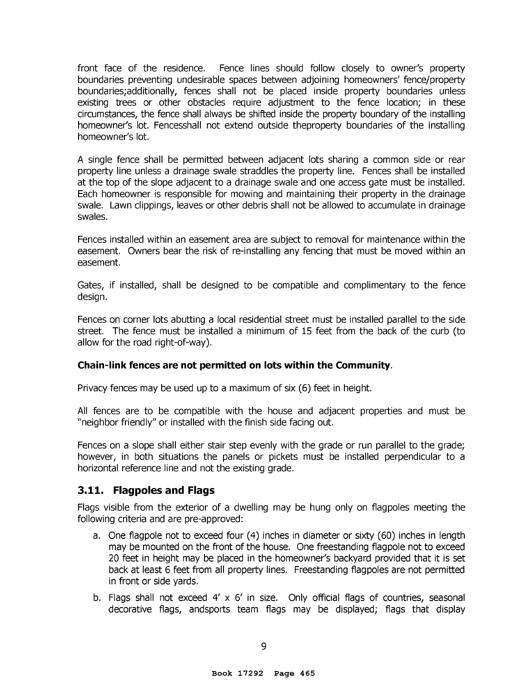front face of the residence. Fence lines should follow closely to owner's property boundaries preventing undesirable spaces between adjoining homeowners' fence/property boundaries;additionally, fences shall not be placed inside property boundaries unless existing trees or other obstacles require adjustment to the fence location; in these circumstances, the fence shall always be shifted inside the property boundary of the installing homeowner's lot. Fencesshall not extend outside theproperty boundaries of the installing homeowner's lot.

A single fence shall be permitted between adjacent lots sharing a common side or rear property line unless a drainage swale straddles the property line. Fences shall be installed at the top of the slope adjacent to a drainage swale and one access gate must be installed. Each homeowner is responsible for mowing and maintaining their property in the drainage swale. Lawn clippings, leaves or other debris shall not be allowed to accumulate in drainage swales.

Fences installed within an easement area are subject to removal for maintenance within the easement. Owners bear the risk of re-installing any fencing that must be moved within an easement.

Gates, if installed, shall be designed to be compatible and complimentary to the fence design.

Fences on corner lots abutting a local residential street must be installed parallel to the side street. The fence must be installed a minimum of 15 feet from the back of the curb (to allow for the road right-of-way).

#### **Chain-link fences are not permitted on lots within the Community.**

Privacy fences may be used up to a maximum of six (6) feet in height.

All fences are to be compatible with the house and adjacent properties and must be "neighbor friendly" or installed with the finish side facing out.

Fences on a slope shall either stair step evenly with the grade or run parallel to the grade; however, in both situations the panels or pickets must be installed perpendicular to a horizontal reference line and not the existing grade.

#### **3.11. Flagpoles and Flags**

Flags visible from the exterior of a dwelling may be hung only on flagpoles meeting the following criteria and are pre-approved:

- a. One flagpole not to exceed four (4) inches in diameter or sixty (60) inches in length may be mounted on the front of the house. One freestanding flagpole not to exceed 20 feet in height may be placed in the homeowner's backyard provided that it is set back at least 6 feet from all property lines. Freestanding flagpoles are not permitted in front or side yards.
- b. Flags shall not exceed 4' x 6' in size. Only official flags of countries, seasonal decorative flags, andsports team flags may be displayed; flags that display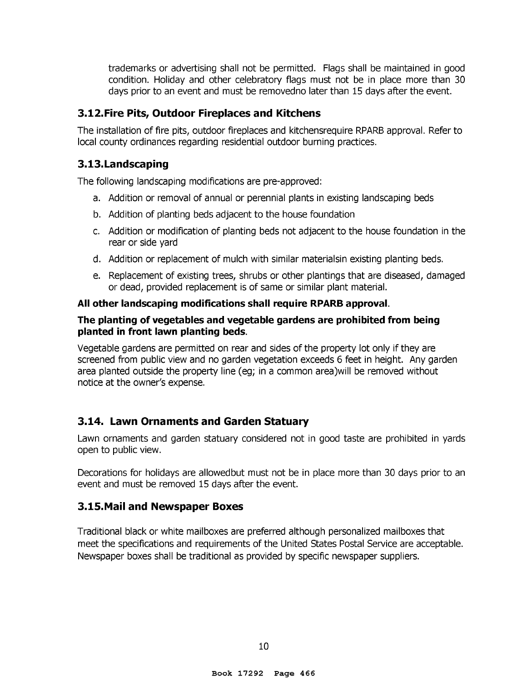trademarks or advertising shall not be permitted. Flags shall be maintained in good condition. Holiday and other celebratory flags must not be in place more than 30 days prior to an event and must be removedno later than 15 days after the event.

#### **3.12.Fire Pits, Outdoor Fireplaces and Kitchens**

The installation of fire pits, outdoor fireplaces and kitchensrequire RPARB approval. Refer to local county ordinances regarding residential outdoor burning practices.

#### **3.13.Landscaping**

The following landscaping modifications are pre-approved:

- a. Addition or removal of annual or perennial plants in existing landscaping beds
- b. Addition of planting beds adjacent to the house foundation
- c. Addition or modification of planting beds not adjacent to the house foundation in the rear or side yard
- d. Addition or replacement of mulch with similar materialsin existing planting beds.
- e. Replacement of existing trees, shrubs or other plantings that are diseased, damaged or dead, provided replacement is of same or similar plant material.

#### **All other landscaping modifications shall require RPARB approval.**

#### **The planting of vegetables and vegetable gardens are prohibited from being planted in front lawn planting beds.**

Vegetable gardens are permitted on rear and sides of the property lot only if they are screened from public view and no garden vegetation exceeds 6 feet in height. Any garden area planted outside the property line (eg; in a common area)will be removed without notice at the owner's expense.

#### **3.14. Lawn Ornaments and Garden Statuary**

Lawn ornaments and garden statuary considered not in good taste are prohibited in yards open to public view.

Decorations for holidays are allowedbut must not be in place more than 30 days prior to an event and must be removed 15 days after the event.

#### **3.15.Mail and Newspaper Boxes**

Traditional black or white mailboxes are preferred although personalized mailboxes that meet the specifications and requirements of the United States Postal Service are acceptable. Newspaper boxes shall be traditional as provided by specific newspaper suppliers.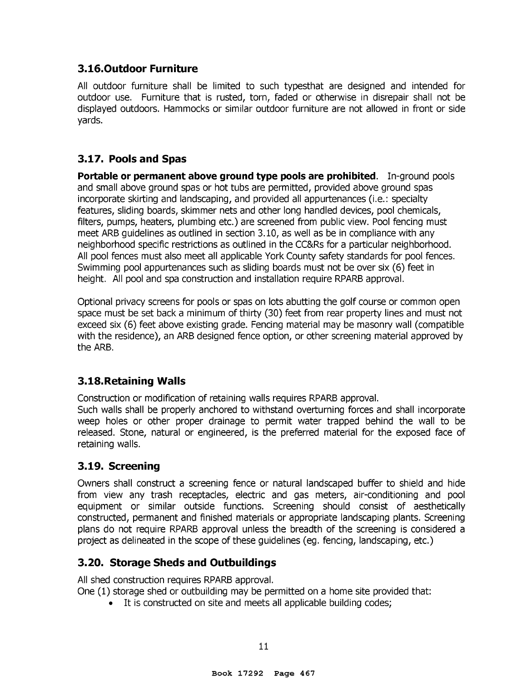#### **3.16.Outdoor Furniture**

All outdoor furniture shall be limited to such typesthat are designed and intended for outdoor use. Furniture that is rusted, torn, faded or otherwise in disrepair shall not be displayed outdoors. Hammocks or similar outdoor furniture are not allowed in front or side yards.

#### **3.17. Pools and Spas**

**Portable or permanent above ground type pools are prohibited.** In-ground pools and small above ground spas or hot tubs are permitted, provided above ground spas incorporate skirting and landscaping, and provided all appurtenances (i.e.: specialty features, sliding boards, skimmer nets and other long handled devices, pool chemicals, filters, pumps, heaters, plumbing etc.) are screened from public view. Pool fencing must meet ARB guidelines as outlined in section 3.10, as well as be in compliance with any neighborhood specific restrictions as outlined in the CC&Rs for a particular neighborhood. All pool fences must also meet all applicable York County safety standards for pool fences. Swimming pool appurtenances such as sliding boards must not be over six (6) feet in height. All pool and spa construction and installation require RPARB approval.

Optional privacy screens for pools or spas on lots abutting the golf course or common open space must be set back a minimum of thirty (30) feet from rear property lines and must not exceed six (6) feet above existing grade. Fencing material may be masonry wall (compatible with the residence), an ARB designed fence option, or other screening material approved by the ARB.

## **3.18.Retaining Walls**

Construction or modification of retaining walls requires RPARB approval.

Such walls shall be properly anchored to withstand overturning forces and shall incorporate weep holes or other proper drainage to permit water trapped behind the wall to be released. Stone, natural or engineered, is the preferred material for the exposed face of retaining walls.

#### **3.19. Screening**

Owners shall construct a screening fence or natural landscaped buffer to shield and hide from view any trash receptacles, electric and gas meters, air-conditioning and pool equipment or similar outside functions. Screening should consist of aesthetically constructed, permanent and finished materials or appropriate landscaping plants. Screening plans do not require RPARB approval unless the breadth of the screening is considered a project as delineated in the scope of these guidelines (eg. fencing, landscaping, etc.)

#### **3.20. Storage Sheds and Outbuildings**

All shed construction requires RPARB approval.

One (1) storage shed or outbuilding may be permitted on a home site provided that:

• It is constructed on site and meets all applicable building codes;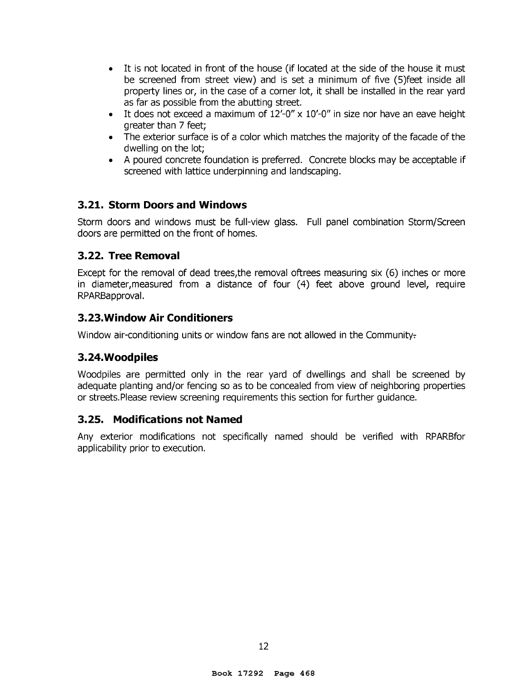- It is not located in front of the house (if located at the side of the house it must be screened from street view) and is set a minimum of five (S)feet inside all property lines or, in the case of a corner lot, it shall be installed in the rear yard as far as possible from the abutting street.
- It does not exceed a maximum of  $12' 0'' \times 10' 0''$  in size nor have an eave height greater than 7 feet;
- The exterior surface is of a color which matches the majority of the facade of the dwelling on the lot;
- A poured concrete foundation is preferred. Concrete blocks may be acceptable if screened with lattice underpinning and landscaping.

#### **3.21. Storm Doors and Windows**

Storm doors and windows must be full-view glass. Full panel combination Storm/Screen doors are permitted on the front of homes.

#### **3.22. Tree Removal**

Except for the removal of dead trees,the removal oftrees measuring six (6) inches or more in diameter, measured from a distance of four (4) feet above ground level, require RPARBapproval.

#### **3.23.Window Air Conditioners**

Window air-conditioning units or window fans are not allowed in the Community-

#### **3. 24. Woodpiles**

Woodpiles are permitted only in the rear yard of dwellings and shall be screened by adequate planting and/or fencing so as to be concealed from view of neighboring properties or streets.Please review screening requirements this section for further guidance.

#### **3.25. Modifications not Named**

Any exterior modifications not specifically named should be verified with RPARBfor applicability prior to execution.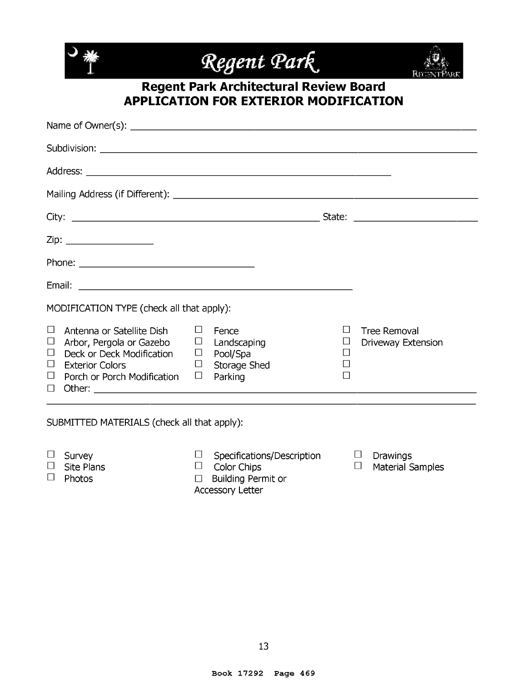

## **Regent Park Architectural Review Board APPLICATION FOR EXTERIOR MODIFICATION**

| $\Box$ |                                                                                                                   | $\Box$<br>$\Box$<br>П                                                                                                                | Tree Removal<br>Driveway Extension |
|--------|-------------------------------------------------------------------------------------------------------------------|--------------------------------------------------------------------------------------------------------------------------------------|------------------------------------|
|        | Antenna or Satellite Dish<br>Arbor, Pergola or Gazebo<br>Deck or Deck Modification<br>Porch or Porch Modification | MODIFICATION TYPE (check all that apply):<br>Fence<br>$\Box$ Landscaping<br>$\Box$ Pool/Spa<br>$\Box$ Storage Shed<br>$\Box$ Parking |                                    |

#### SUBMITTED MATERIALS (check all that apply):

- D Survey
- $\Box$  Specifications/Description  $\Box$  Color Chips
- $\square$  Site Plans □ Photos
- □ Building Permit or
- Accessory Letter
- $\square$  Drawings
- D Material Samples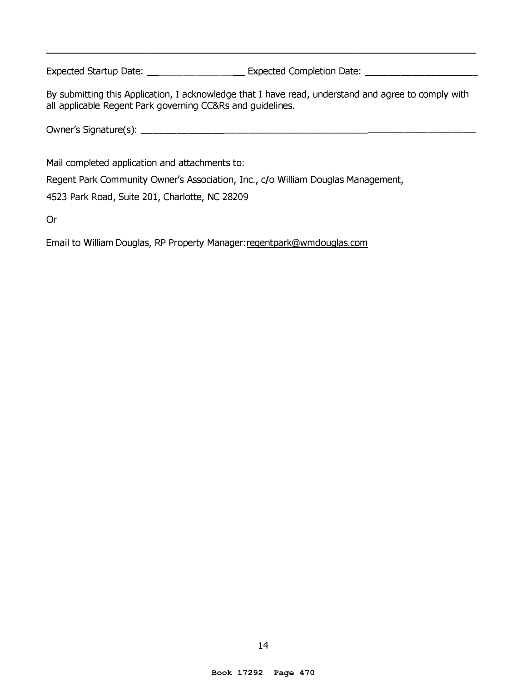Expected Startup Date: \_\_\_\_\_\_\_\_\_\_\_\_\_\_\_\_ Expected Completion Date: \_\_\_\_\_\_\_\_\_\_\_\_\_\_

By submitting this Application, I acknowledge that I have read, understand and agree to comply with all applicable Regent Park governing CC&Rs and guidelines.

Owner's Signature(s): \_\_\_\_\_\_\_\_\_\_\_\_\_\_\_\_\_\_\_\_\_\_\_\_\_\_\_ \_

Mail completed application and attachments to:

Regent Park Community Owner's Association, Inc., c/o William Douglas Management,

4523 Park Road, Suite 201, Charlotte, NC 28209

Or

Email to William Douglas, RP Property Manager: regentpark@wmdouqlas.com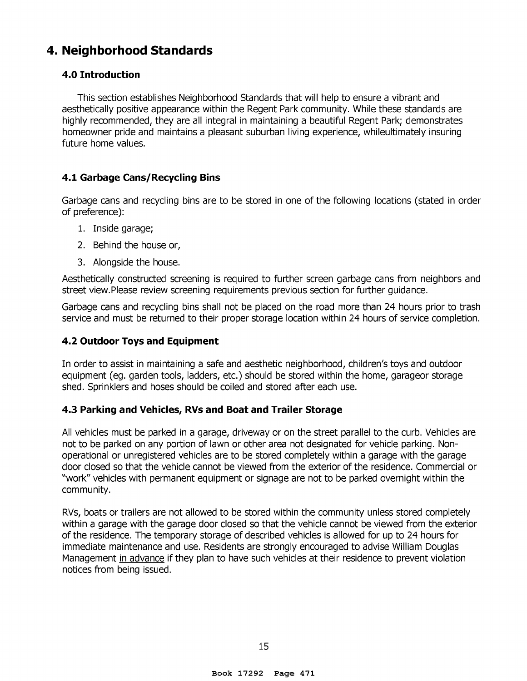## **4. Neighborhood Standards**

#### **4.0 Introduction**

This section establishes Neighborhood Standards that will help to ensure a vibrant and aesthetically positive appearance within the Regent Park community. While these standards are highly recommended, they are all integral in maintaining a beautiful Regent Park; demonstrates homeowner pride and maintains a pleasant suburban living experience, whileultimately insuring future home values.

#### **4.1 Garbage Cans/Recycling Bins**

Garbage cans and recycling bins are to be stored in one of the following locations (stated in order of preference):

- 1. Inside garage;
- 2. Behind the house or,
- 3. Alongside the house.

Aesthetically constructed screening is required to further screen garbage cans from neighbors and street view.Please review screening requirements previous section for further guidance.

Garbage cans and recycling bins shall not be placed on the road more than 24 hours prior to trash service and must be returned to their proper storage location within 24 hours of service completion.

#### **4.2 Outdoor Toys and Equipment**

In order to assist in maintaining a safe and aesthetic neighborhood, children's toys and outdoor equipment (eg. garden tools, ladders, etc.) should be stored within the home, garageor storage shed. Sprinklers and hoses should be coiled and stored after each use.

#### **4.3 Parking and Vehicles, RVs and Boat and Trailer Storage**

All vehicles must be parked in a garage, driveway or on the street parallel to the curb. Vehicles are not to be parked on any portion of lawn or other area not designated for vehicle parking. Nonoperational or unregistered vehicles are to be stored completely within a garage with the garage door closed so that the vehicle cannot be viewed from the exterior of the residence. Commercial or "work" vehicles with permanent equipment or signage are not to be parked overnight within the community.

RVs, boats or trailers are not allowed to be stored within the community unless stored completely within a garage with the garage door closed so that the vehicle cannot be viewed from the exterior of the residence. The temporary storage of described vehicles is allowed for up to 24 hours for immediate maintenance and use. Residents are strongly encouraged to advise William Douglas Management in advance if they plan to have such vehicles at their residence to prevent violation notices from being issued.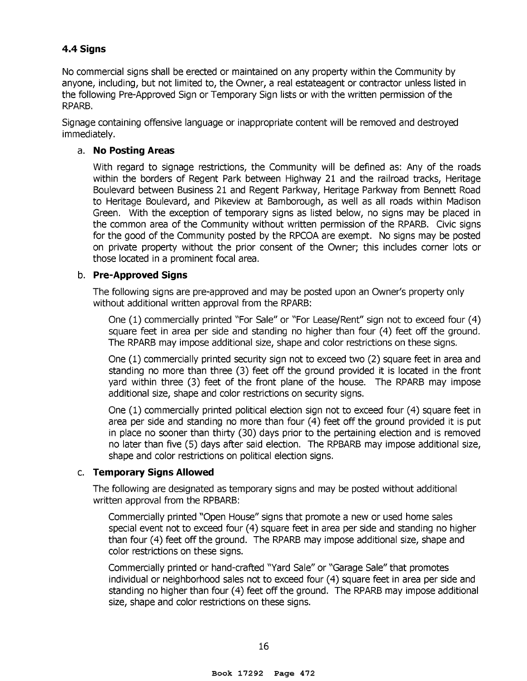#### **4.4 Signs**

No commercial signs shall be erected or maintained on any property within the Community by anyone, including, but not limited to, the Owner, a real estateagent or contractor unless listed in the following Pre-Approved Sign or Temporary Sign lists or with the written permission of the RPARB.

Signage containing offensive language or inappropriate content will be removed and destroyed immediately.

#### a. **No Posting Areas**

With regard to signage restrictions, the Community will be defined as: Any of the roads within the borders of Regent Park between Highway 21 and the railroad tracks, Heritage Boulevard between Business 21 and Regent Parkway, Heritage Parkway from Bennett Road to Heritage Boulevard, and Pikeview at Bamborough, as well as all roads within Madison Green. With the exception of temporary signs as listed below, no signs may be placed in the common area of the Community without written permission of the RPARB. Civic signs for the good of the Community posted by the RPCOA are exempt. No signs may be posted on private property without the prior consent of the Owner; this includes corner lots or those located in a prominent focal area.

#### b. **Pre-Approved Signs**

The following signs are pre-approved and may be posted upon an Owner's property only without additional written approval from the RPARB:

One (1) commercially printed "For Sale" or "For Lease/Rent" sign not to exceed four (4) square feet in area per side and standing no higher than four (4) feet off the ground. The RPARB may impose additional size, shape and color restrictions on these signs.

One (1) commercially printed security sign not to exceed two (2) square feet in area and standing no more than three (3) feet off the ground provided it is located in the front yard within three (3) feet of the front plane of the house. The RPARB may impose additional size, shape and color restrictions on security signs.

One (1) commercially printed political election sign not to exceed four (4) square feet in area per side and standing no more than four (4) feet off the ground provided it is put in place no sooner than thirty (30) days prior to the pertaining election and is removed no later than five (5) days after said election. The RPBARB may impose additional size, shape and color restrictions on political election signs.

#### c. **Temporary Signs Allowed**

The following are designated as temporary signs and may be posted without additional written approval from the RPBARB:

Commercially printed "Open House" signs that promote a new or used home sales special event not to exceed four (4) square feet in area per side and standing no higher than four (4) feet off the ground. The RPARB may impose additional size, shape and color restrictions on these signs.

Commercially printed or hand-crafted "Yard Sale" or "Garage Sale" that promotes individual or neighborhood sales not to exceed four (4) square feet in area per side and standing no higher than four (4) feet off the ground. The RPARB may impose additional size, shape and color restrictions on these signs.